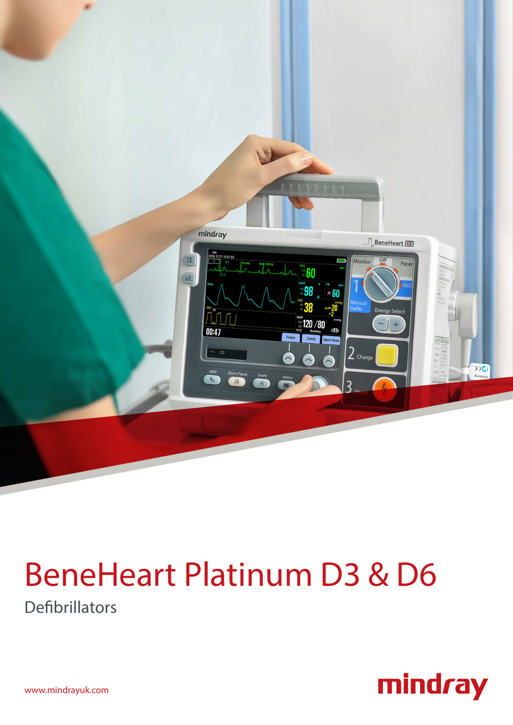

# BeneHeart Platinum D3 & D6

Defibrillators



www.mindrayuk.com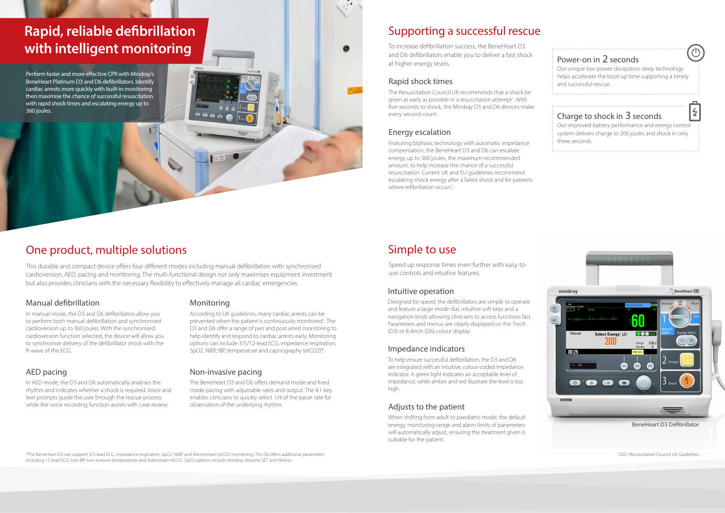The Resuscitation Council UK recommends that a shock be given as early as possible in a resuscitation attempt<sup>1</sup>. With five-seconds to shock, the Mindray D3 and D6 devices make every second count.

Perform faster and more effective CPR with Mindray's BeneHeart Platinum D3 and D6 defibrillators. Identify cardiac arrests more quickly with built-in monitoring then maximise the chance of successful resuscitation with rapid shock times and escalating energy up to 360 joules.

# **Rapid, reliable defibrillation with intelligent monitoring**

This durable and compact device offers four different modes including manual defibrillation with synchronised cardioversion, AED, pacing and monitoring. The multi-functional design not only maximises equipment investment but also provides clinicians with the necessary flexibility to effectively manage all cardiac emergencies.

### One product, multiple solutions

In manual mode, the D3 and D6 defibrillators allow you to perform both manual defibrillation and synchronised cardioversion up to 360 joules. With the synchronised cardioversion function selected, the device will allow you to synchronise delivery of the defibrillator shock with the R-wave of the ECG.

In AED mode, the D3 and D6 automatically analyses the rhythm and indicates whether a shock is required. Voice and text prompts guide the user through the rescue process while the voice recording function assists with case review.

Featuring biphasic technology with automatic impedance compensation, the BeneHeart D3 and D6 can escalate energy up to 360 joules, the maximum recommended amount, to help increase the chance of a successful resuscitation. Current UK and EU guidelines recommend escalating shock energy after a failed shock and for patients where refibrillation occurs<sup>1</sup>. .

To help ensure successful defibrillation, the D3 and D6 are integrated with an intuitive, colour-coded impedance indicator. A green light indicates an acceptable level of impedance, while amber and red illustrate the level is too high.

#### Adjusts to the patient

#### Manual defibrillation

#### AED pacing

According to UK guidelines, many cardiac arrests can be prevented when the patient is continuously monitored<sup>1</sup>. The D3 and D6 offer a range of peri and post arrest monitoring to help identify and respond to cardiac arrests early. Monitoring options can include 3/5/12-lead ECG, impedance respiration, SpO2, NIBP, IBP, temperature and capnography (etCO2)\*.

#### Monitoring

The BeneHeart D3 and D6 offers demand mode and fixed mode pacing with adjustable rates and output. The 4:1 key enables clinicians to quickly select 1/4 of the pacer rate for observation of the underlying rhythm.

#### Non-invasive pacing

#### Power-on in 2 seconds

Our unique low-power dissipation sleep technology helps accelerate the boot-up time supporting a timely and successful rescue.

### Charge to shock in 3 seconds

Our improved battery performance and energy control system delivers charge to 200 joules and shock in only three seconds.

### Simple to use

# Supporting a successful rescue

#### Rapid shock times

### Energy escalation

When shifting from adult to paediatric mode, the default energy, monitoring range and alarm limits of parameters will automatically adjust, ensuring the treatment given is suitable for the patient.

#### Intuitive operation

#### Impedance indicators

Designed for speed, the defibrillators are simple to operate and feature a large mode dial, intuitive soft keys and a navigation knob allowing clinicians to access functions fast. Parameters and menus are clearly displayed on the 7inch (D3) or 8.4inch (D6) colour display.

\*The BeneHeart D3 can support 3/5-lead ECG, impedance respiration, SpO2, NIBP and Microstream etCO2 monitoring. The D6 offers additional parameters including 12-lead ECG, two IBP, two invasive temperatures and Sidestream etCO2. SpO2 options include Mindray, Masimo SET and Nellcor.

To increase defibrillation success, the BeneHeart D3 and D6 defibrillators enable you to deliver a fast shock at higher energy levels.

Speed up response times even further with easy-touse controls and intuitive features.

1 2021 Resuscitation Council UK Guidelines